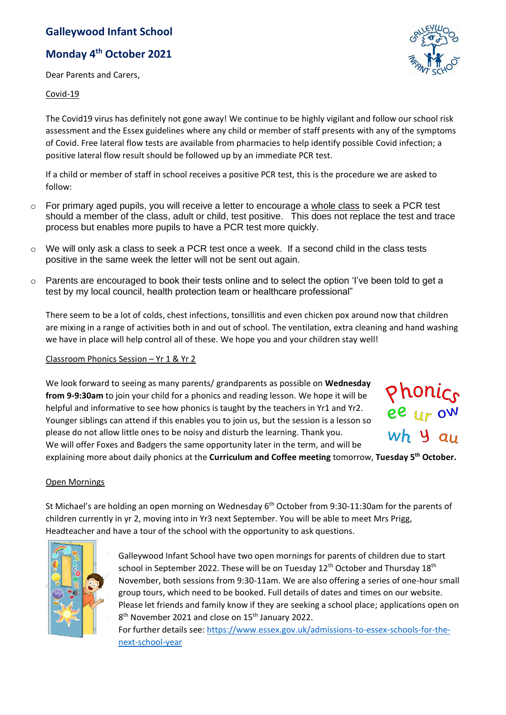# **Galleywood Infant School**

# **Monday 4th October 2021**

Dear Parents and Carers,

### Covid-19

The Covid19 virus has definitely not gone away! We continue to be highly vigilant and follow our school risk assessment and the Essex guidelines where any child or member of staff presents with any of the symptoms of Covid. Free lateral flow tests are available from pharmacies to help identify possible Covid infection; a positive lateral flow result should be followed up by an immediate PCR test.

If a child or member of staff in school receives a positive PCR test, this is the procedure we are asked to follow:

- o For primary aged pupils, you will receive a letter to encourage a whole class to seek a PCR test should a member of the class, adult or child, test positive. This does not replace the test and trace process but enables more pupils to have a PCR test more quickly.
- $\circ$  We will only ask a class to seek a PCR test once a week. If a second child in the class tests positive in the same week the letter will not be sent out again.
- $\circ$  Parents are encouraged to book their tests online and to select the option 'I've been told to get a test by my local council, health protection team or healthcare professional"

There seem to be a lot of colds, chest infections, tonsillitis and even chicken pox around now that children are mixing in a range of activities both in and out of school. The ventilation, extra cleaning and hand washing we have in place will help control all of these. We hope you and your children stay well!

#### Classroom Phonics Session – Yr 1 & Yr 2

We look forward to seeing as many parents/ grandparents as possible on **Wednesday from 9-9:30am** to join your child for a phonics and reading lesson. We hope it will be helpful and informative to see how phonics is taught by the teachers in Yr1 and Yr2. Younger siblings can attend if this enables you to join us, but the session is a lesson so please do not allow little ones to be noisy and disturb the learning. Thank you. We will offer Foxes and Badgers the same opportunity later in the term, and will be



explaining more about daily phonics at the **Curriculum and Coffee meeting** tomorrow, **Tuesday 5th October.**

#### Open Mornings

St Michael's are holding an open morning on Wednesday 6<sup>th</sup> October from 9:30-11:30am for the parents of children currently in yr 2, moving into in Yr3 next September. You will be able to meet Mrs Prigg, Headteacher and have a tour of the school with the opportunity to ask questions.



Galleywood Infant School have two open mornings for parents of children due to start school in September 2022. These will be on Tuesday  $12^{th}$  October and Thursday  $18^{th}$ November, both sessions from 9:30-11am. We are also offering a series of one-hour small group tours, which need to be booked. Full details of dates and times on our website. Please let friends and family know if they are seeking a school place; applications open on 8<sup>th</sup> November 2021 and close on 15<sup>th</sup> January 2022.

For further details see: [https://www.essex.gov.uk/admissions-to-essex-schools-for-the](https://www.essex.gov.uk/admissions-to-essex-schools-for-the-next-school-year)[next-school-year](https://www.essex.gov.uk/admissions-to-essex-schools-for-the-next-school-year)